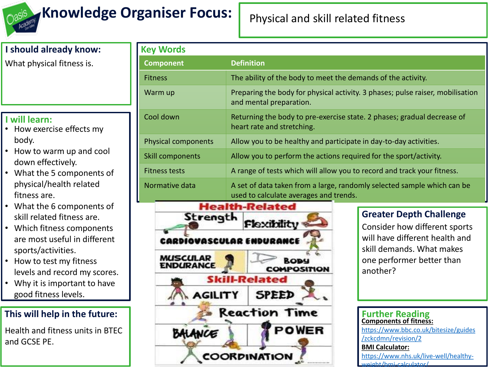

## **Knowledge Organiser Focus:** Physical and skill related fitness

# **I should already know:**

What physical fitness is.

#### **I will learn:**

- How exercise effects my body.
- How to warm up and cool down effectively.
- What the 5 components of physical/health related fitness are.
- What the 6 components of skill related fitness are.
- Which fitness components are most useful in different sports/activities.
- How to test my fitness levels and record my scores.
- Why it is important to have good fitness levels.

### **This will help in the future:**

Health and fitness units in BTEC and GCSE PE.

| <b>Key Words</b>           |                                                                                                                   |  |  |  |
|----------------------------|-------------------------------------------------------------------------------------------------------------------|--|--|--|
| <b>Component</b>           | <b>Definition</b>                                                                                                 |  |  |  |
| <b>Fitness</b>             | The ability of the body to meet the demands of the activity.                                                      |  |  |  |
| Warm up                    | Preparing the body for physical activity. 3 phases; pulse raiser, mobilisation<br>and mental preparation.         |  |  |  |
| Cool down                  | Returning the body to pre-exercise state. 2 phases; gradual decrease of<br>heart rate and stretching.             |  |  |  |
| <b>Physical components</b> | Allow you to be healthy and participate in day-to-day activities.                                                 |  |  |  |
| Skill components           | Allow you to perform the actions required for the sport/activity.                                                 |  |  |  |
| <b>Fitness tests</b>       | A range of tests which will allow you to record and track your fitness.                                           |  |  |  |
| Normative data             | A set of data taken from a large, randomly selected sample which can be<br>used to calculate averages and trends. |  |  |  |



#### **Greater Depth Challenge**

Consider how different sports will have different health and skill demands. What makes one performer better than another?

#### **Further Reading Components of fitness:**  [https://www.bbc.co.uk/bitesize/guides](https://www.bbc.co.uk/bitesize/guides/zckcdmn/revision/2) /zckcdmn/revision/2 **BMI Calculator:** [https://www.nhs.uk/live-well/healthy](https://www.nhs.uk/live-well/healthy-weight/bmi-calculator/)weight/bmi-calculator/